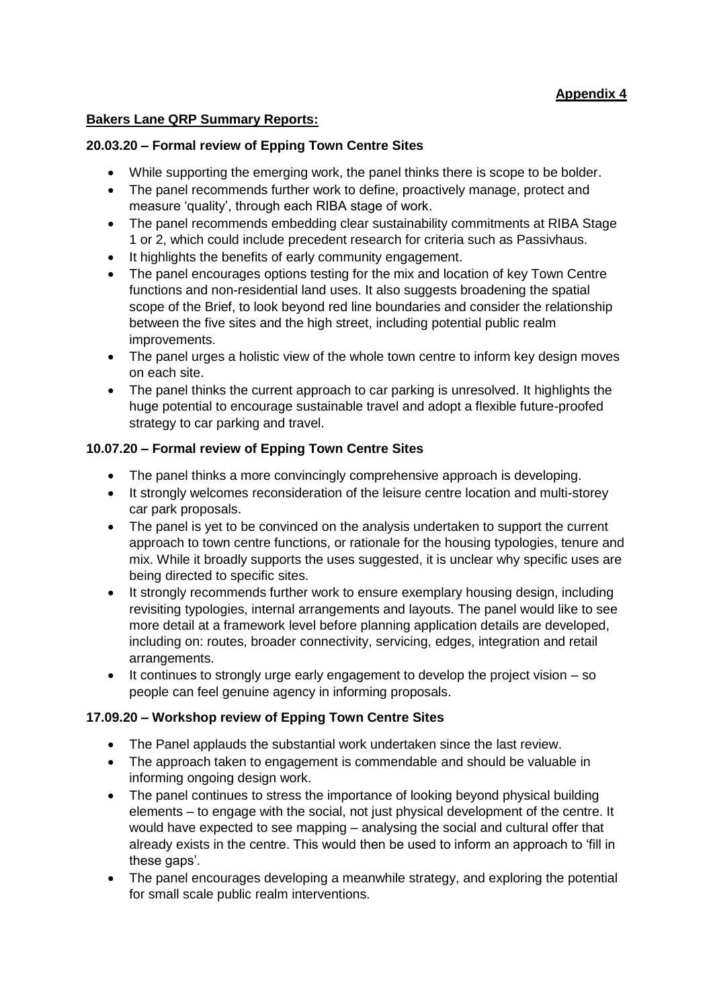# **Appendix 4**

#### **Bakers Lane QRP Summary Reports:**

#### **20.03.20 – Formal review of Epping Town Centre Sites**

- While supporting the emerging work, the panel thinks there is scope to be bolder.
- The panel recommends further work to define, proactively manage, protect and measure 'quality', through each RIBA stage of work.
- The panel recommends embedding clear sustainability commitments at RIBA Stage 1 or 2, which could include precedent research for criteria such as Passivhaus.
- It highlights the benefits of early community engagement.
- The panel encourages options testing for the mix and location of key Town Centre functions and non-residential land uses. It also suggests broadening the spatial scope of the Brief, to look beyond red line boundaries and consider the relationship between the five sites and the high street, including potential public realm improvements.
- The panel urges a holistic view of the whole town centre to inform key design moves on each site.
- The panel thinks the current approach to car parking is unresolved. It highlights the huge potential to encourage sustainable travel and adopt a flexible future-proofed strategy to car parking and travel.

#### **10.07.20 – Formal review of Epping Town Centre Sites**

- The panel thinks a more convincingly comprehensive approach is developing.
- It strongly welcomes reconsideration of the leisure centre location and multi-storey car park proposals.
- The panel is yet to be convinced on the analysis undertaken to support the current approach to town centre functions, or rationale for the housing typologies, tenure and mix. While it broadly supports the uses suggested, it is unclear why specific uses are being directed to specific sites.
- It strongly recommends further work to ensure exemplary housing design, including revisiting typologies, internal arrangements and layouts. The panel would like to see more detail at a framework level before planning application details are developed, including on: routes, broader connectivity, servicing, edges, integration and retail arrangements.
- It continues to strongly urge early engagement to develop the project vision so people can feel genuine agency in informing proposals.

## **17.09.20 – Workshop review of Epping Town Centre Sites**

- The Panel applauds the substantial work undertaken since the last review.
- The approach taken to engagement is commendable and should be valuable in informing ongoing design work.
- The panel continues to stress the importance of looking beyond physical building elements – to engage with the social, not just physical development of the centre. It would have expected to see mapping – analysing the social and cultural offer that already exists in the centre. This would then be used to inform an approach to 'fill in these gaps'.
- The panel encourages developing a meanwhile strategy, and exploring the potential for small scale public realm interventions.